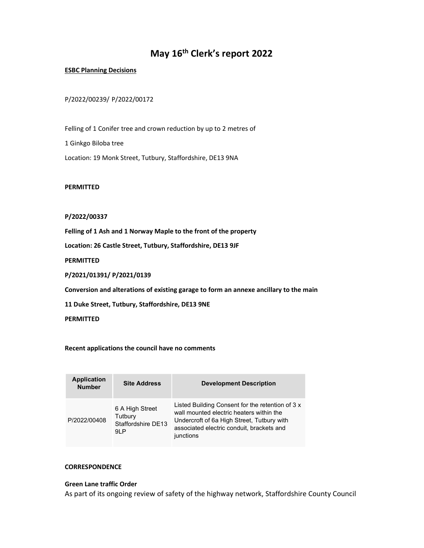# May 16th Clerk's report 2022

#### ESBC Planning Decisions

## P/2022/00239/ P/2022/00172

Felling of 1 Conifer tree and crown reduction by up to 2 metres of 1 Ginkgo Biloba tree Location: 19 Monk Street, Tutbury, Staffordshire, DE13 9NA

PERMITTED

## P/2022/00337

Felling of 1 Ash and 1 Norway Maple to the front of the property

Location: 26 Castle Street, Tutbury, Staffordshire, DE13 9JF

**PERMITTED** 

P/2021/01391/ P/2021/0139

Conversion and alterations of existing garage to form an annexe ancillary to the main

11 Duke Street, Tutbury, Staffordshire, DE13 9NE

PERMITTED

#### Recent applications the council have no comments

| <b>Application</b><br><b>Number</b> | <b>Site Address</b>                                      | <b>Development Description</b>                                                                                                                                                                       |
|-------------------------------------|----------------------------------------------------------|------------------------------------------------------------------------------------------------------------------------------------------------------------------------------------------------------|
| P/2022/00408                        | 6 A High Street<br>Tutbury<br>Staffordshire DE13<br>91 P | Listed Building Consent for the retention of 3 x<br>wall mounted electric heaters within the<br>Undercroft of 6a High Street, Tutbury with<br>associated electric conduit, brackets and<br>junctions |

#### **CORRESPONDENCE**

## Green Lane traffic Order

As part of its ongoing review of safety of the highway network, Staffordshire County Council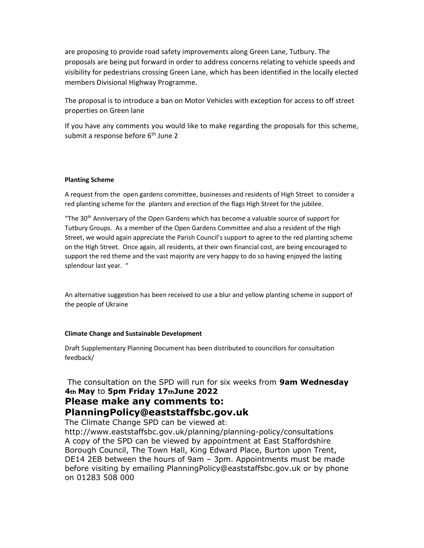are proposing to provide road safety improvements along Green Lane, Tutbury. The proposals are being put forward in order to address concerns relating to vehicle speeds and visibility for pedestrians crossing Green Lane, which has been identified in the locally elected members Divisional Highway Programme.

The proposal is to introduce a ban on Motor Vehicles with exception for access to off street properties on Green lane

If you have any comments you would like to make regarding the proposals for this scheme, submit a response before 6<sup>th</sup> June 2

#### Planting Scheme

A request from the open gardens committee, businesses and residents of High Street to consider a red planting scheme for the planters and erection of the flags High Street for the jubilee.

"The 30<sup>th</sup> Anniversary of the Open Gardens which has become a valuable source of support for Tutbury Groups. As a member of the Open Gardens Committee and also a resident of the High Street, we would again appreciate the Parish Council's support to agree to the red planting scheme on the High Street. Once again, all residents, at their own financial cost, are being encouraged to support the red theme and the vast majority are very happy to do so having enjoyed the lasting splendour last year. "

An alternative suggestion has been received to use a blur and yellow planting scheme in support of the people of Ukraine

#### Climate Change and Sustainable Development

Draft Supplementary Planning Document has been distributed to councillors for consultation feedback/

The consultation on the SPD will run for six weeks from 9am Wednesday 4th May to 5pm Friday 17thJune 2022

## Please make any comments to: PlanningPolicy@eaststaffsbc.gov.uk

The Climate Change SPD can be viewed at:

http://www.eaststaffsbc.gov.uk/planning/planning-policy/consultations A copy of the SPD can be viewed by appointment at East Staffordshire Borough Council, The Town Hall, King Edward Place, Burton upon Trent, DE14 2EB between the hours of 9am – 3pm. Appointments must be made before visiting by emailing PlanningPolicy@eaststaffsbc.gov.uk or by phone on 01283 508 000